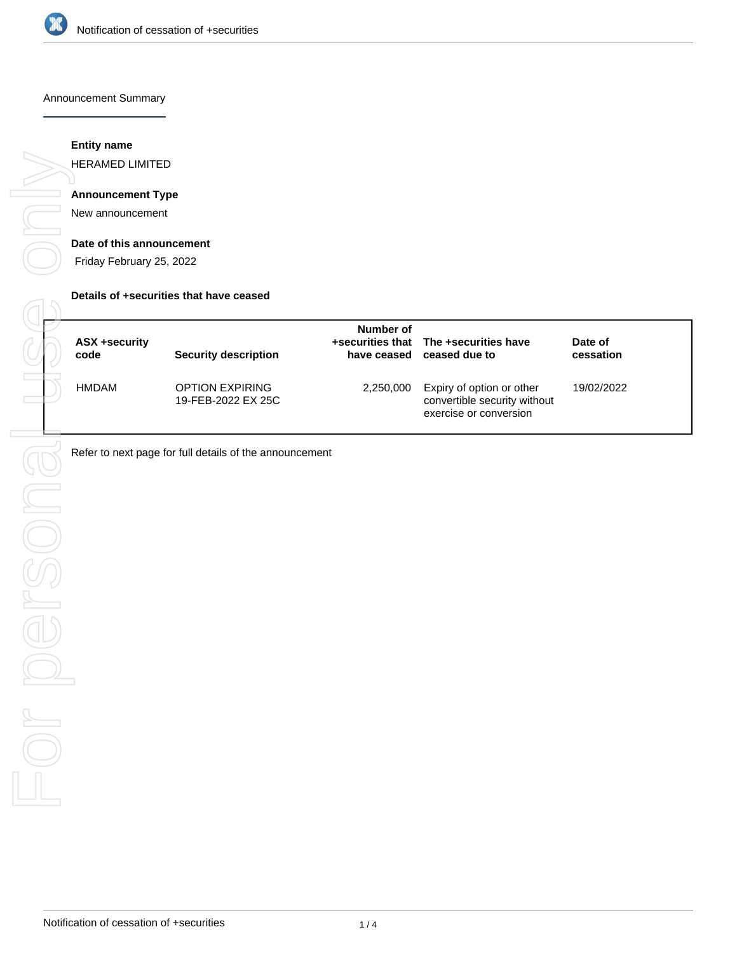

### Announcement Summary

## **Entity name**

HERAMED LIMITED

# **Announcement Type**

New announcement

### **Date of this announcement**

Friday February 25, 2022

#### **Details of +securities that have ceased**

| <b>ASX +security</b><br>code | <b>Security description</b>                  | Number of | +securities that The +securities have<br>have ceased ceased due to                  | Date of<br>cessation |  |
|------------------------------|----------------------------------------------|-----------|-------------------------------------------------------------------------------------|----------------------|--|
| <b>HMDAM</b>                 | <b>OPTION EXPIRING</b><br>19-FEB-2022 EX 25C | 2,250,000 | Expiry of option or other<br>convertible security without<br>exercise or conversion | 19/02/2022           |  |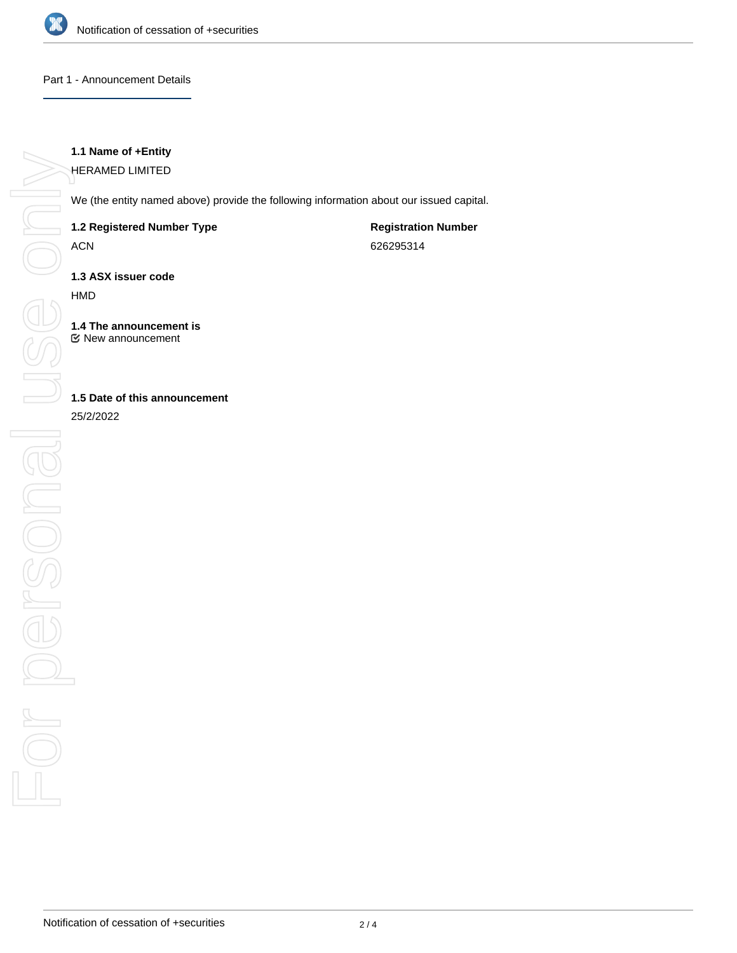

### Part 1 - Announcement Details

# **1.1 Name of +Entity**

HERAMED LIMITED

We (the entity named above) provide the following information about our issued capital.

## **1.2 Registered Number Type**

ACN

**Registration Number** 626295314

**1.3 ASX issuer code**

HMD

**1.4 The announcement is** New announcement

# **1.5 Date of this announcement**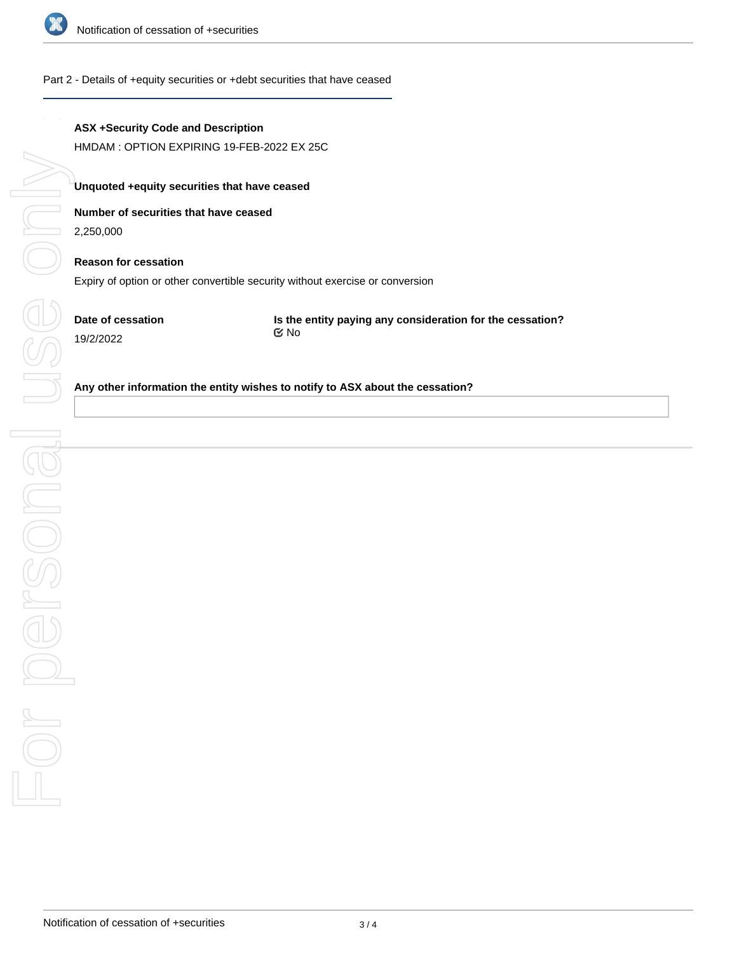

### Part 2 - Details of +equity securities or +debt securities that have ceased

# **ASX +Security Code and Description**

HMDAM : OPTION EXPIRING 19-FEB-2022 EX 25C

## **Unquoted +equity securities that have ceased**

# **Number of securities that have ceased**

2,250,000

# **Reason for cessation** Expiry of option or other convertible security without exercise or conversion

**Date of cessation** 19/2/2022

**Is the entity paying any consideration for the cessation?** No

### **Any other information the entity wishes to notify to ASX about the cessation?**